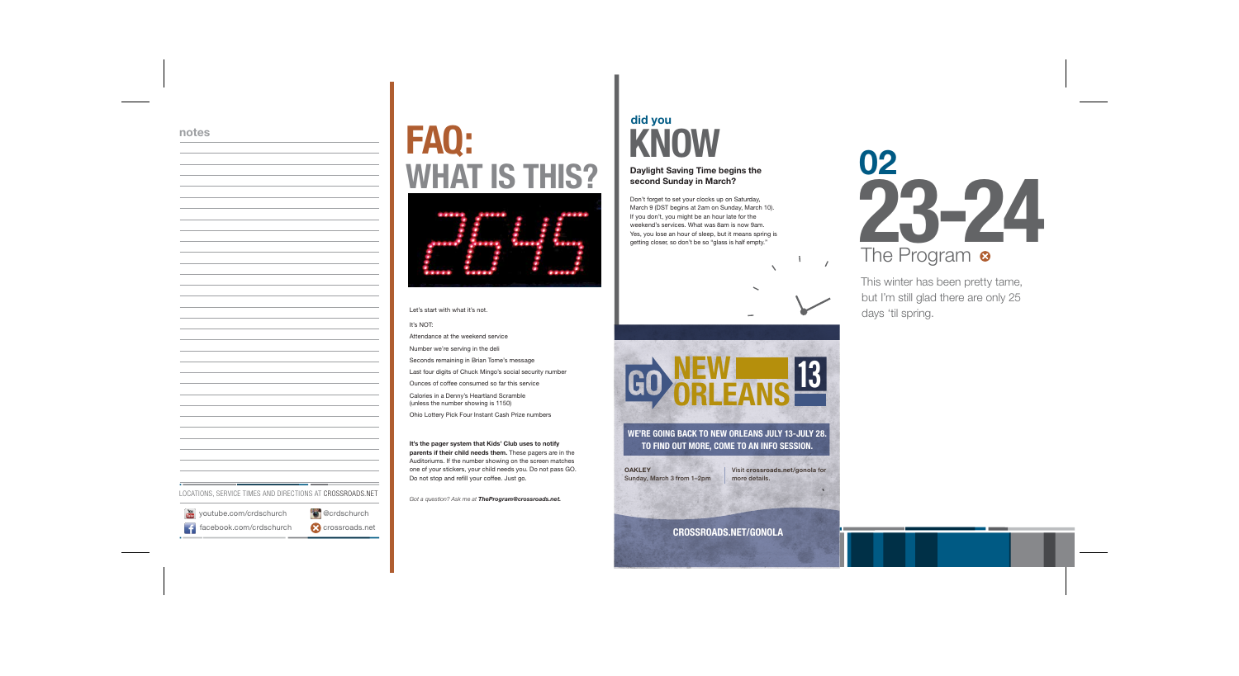**did you**

### **KNOW Daylight Saving Time begins the second Sunday in March?**

Don't forget to set your clocks up on Saturday,

March 9 (DST begins at 2am on Sunday, March 10). If you don't, you might be an hour late for the weekend's services. What was 8am is now 9am. Yes, you lose an hour of sleep, but it means spring is getting closer, so don't be so "glass is half empty."

# **FAQ: WHAT IS THIS?**



Let's start with what it's not.

It's NOT: Attendance at the weekend service Number we're serving in the deli Seconds remaining in Brian Tome's message Last four digits of Chuck Mingo's social security number Ounces of coffee consumed so far this service Calories in a Denny's Heartland Scramble (unless the number showing is 1150) Ohio Lottery Pick Four Instant Cash Prize numbers

**It's the pager system that Kids' Club uses to notify parents if their child needs them.** These pagers are in the Auditoriums. If the number showing on the screen matches one of your stickers, your child needs you. Do not pass GO. Do not stop and refill your coffee. Just go.

*Got a question? Ask me at TheProgram@crossroads.net.*

This winter has been pretty tame, but I'm still glad there are only 25 days 'til spring.



**OAKLEY** Sunday, March 3 from 1–2pm

**WE'RE GOING BACK TO NEW ORLEANS JULY 13-JULY 28. TO FIND OUT MORE, COME TO AN INFO SESSION.**

> Visit **crossroads.net/gonola** for more details.

 $\mathbf{I}$ 

 $\overline{1}$ 

**CROSSROADS.NET/GONOLA**



### **notes**

facebook.com/crdschurch

w youtube.com/crdschurch **@crdschurch** 

LOCATIONS, SERVICE TIMES AND DIRECTIONS AT CROSSROADS.NET

**C** crossroads.net